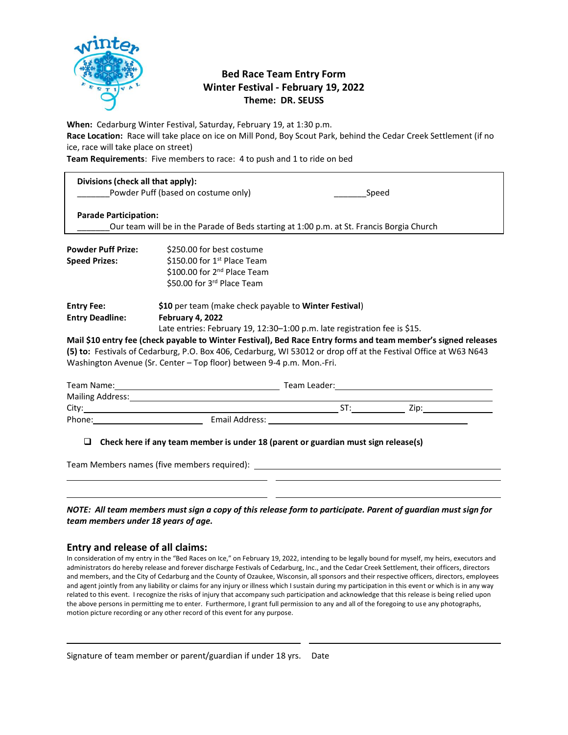

## **Bed Race Team Entry Form Winter Festival - February 19, 2022 Theme: DR. SEUSS**

**When:** Cedarburg Winter Festival, Saturday, February 19, at 1:30 p.m.

**Race Location:** Race will take place on ice on Mill Pond, Boy Scout Park, behind the Cedar Creek Settlement (if no ice, race will take place on street)

**Team Requirements**: Five members to race: 4 to push and 1 to ride on bed

| Divisions (check all that apply): | Powder Puff (based on costume only)<br>Speed                                                                   |
|-----------------------------------|----------------------------------------------------------------------------------------------------------------|
| <b>Parade Participation:</b>      | Our team will be in the Parade of Beds starting at 1:00 p.m. at St. Francis Borgia Church                      |
| <b>Powder Puff Prize:</b>         | \$250.00 for best costume                                                                                      |
| <b>Speed Prizes:</b>              | \$150.00 for $1st$ Place Team                                                                                  |
|                                   | \$100.00 for 2 <sup>nd</sup> Place Team                                                                        |
|                                   | \$50.00 for 3rd Place Team                                                                                     |
| <b>Entry Fee:</b>                 | \$10 per team (make check payable to Winter Festival)                                                          |
| <b>Entry Deadline:</b>            | February 4, 2022                                                                                               |
|                                   | Late entries: February 19, 12:30–1:00 p.m. late registration fee is \$15.                                      |
|                                   | Mail \$10 entry fee (check payable to Winter Festival), Bed Race Entry forms and team member's signed releases |

**Mail \$10 entry fee (check payable to Winter Festival), Bed Race Entry forms and team member's signed releases (5) to:** Festivals of Cedarburg, P.O. Box 406, Cedarburg, WI 53012 or drop off at the Festival Office at W63 N643 Washington Avenue (Sr. Center – Top floor) between 9-4 p.m. Mon.-Fri.

| Team Name:       |                | Team Leader: |     |      |  |
|------------------|----------------|--------------|-----|------|--|
| Mailing Address: |                |              |     |      |  |
| City:            |                |              | ST. | Zip: |  |
| Phone:           | Email Address: |              |     |      |  |

❑ **Check here if any team member is under 18 (parent or guardian must sign release(s)**

Team Members names (five members required):

| NOTE:  All team members must sign a copy of this release form to participate. Parent of guardian must sign for |  |  |
|----------------------------------------------------------------------------------------------------------------|--|--|
| team members under 18 years of age.                                                                            |  |  |

i<br>I  $\overline{a}$ 

## **Entry and release of all claims:**

In consideration of my entry in the "Bed Races on Ice," on February 19, 2022, intending to be legally bound for myself, my heirs, executors and administrators do hereby release and forever discharge Festivals of Cedarburg, Inc., and the Cedar Creek Settlement, their officers, directors and members, and the City of Cedarburg and the County of Ozaukee, Wisconsin, all sponsors and their respective officers, directors, employees and agent jointly from any liability or claims for any injury or illness which I sustain during my participation in this event or which is in any way related to this event. I recognize the risks of injury that accompany such participation and acknowledge that this release is being relied upon the above persons in permitting me to enter. Furthermore, I grant full permission to any and all of the foregoing to use any photographs, motion picture recording or any other record of this event for any purpose.

i<br>I